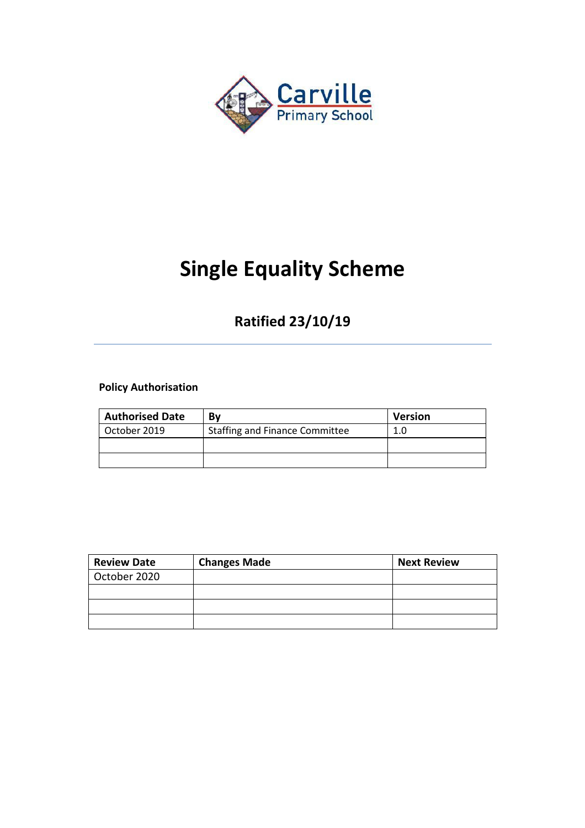

## **Single Equality Scheme**

## **Ratified 23/10/19**

**Policy Authorisation** 

| <b>Authorised Date</b> | Bv                                    | <b>Version</b> |
|------------------------|---------------------------------------|----------------|
| October 2019           | <b>Staffing and Finance Committee</b> | 1.0            |
|                        |                                       |                |
|                        |                                       |                |

| <b>Review Date</b> | <b>Changes Made</b> | <b>Next Review</b> |
|--------------------|---------------------|--------------------|
| October 2020       |                     |                    |
|                    |                     |                    |
|                    |                     |                    |
|                    |                     |                    |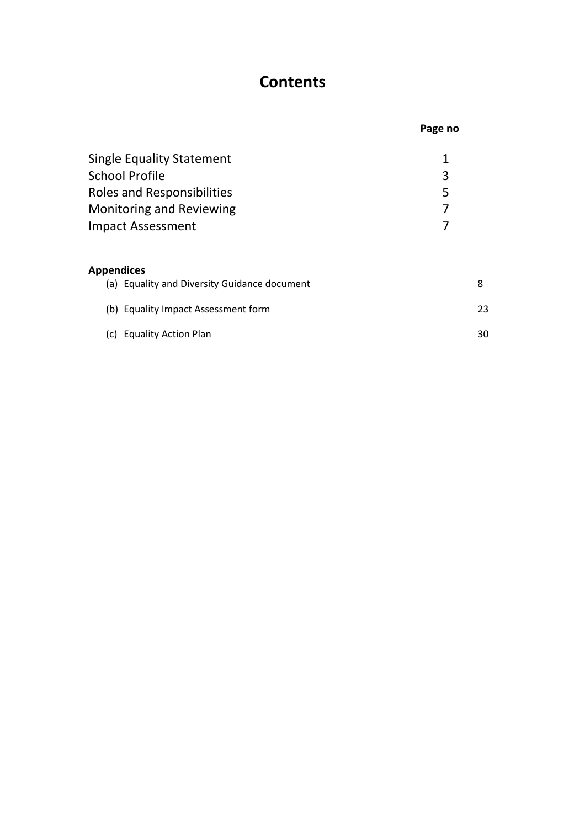## **Contents**

|                                              | Page no |
|----------------------------------------------|---------|
| <b>Single Equality Statement</b>             | 1       |
| School Profile                               | 3       |
| <b>Roles and Responsibilities</b>            | 5       |
| <b>Monitoring and Reviewing</b>              |         |
| <b>Impact Assessment</b>                     |         |
| Appendices                                   |         |
| (a) Equality and Diversity Guidance document | 8       |
| (b) Equality Impact Assessment form          | 23      |
| (c) Equality Action Plan                     | 30      |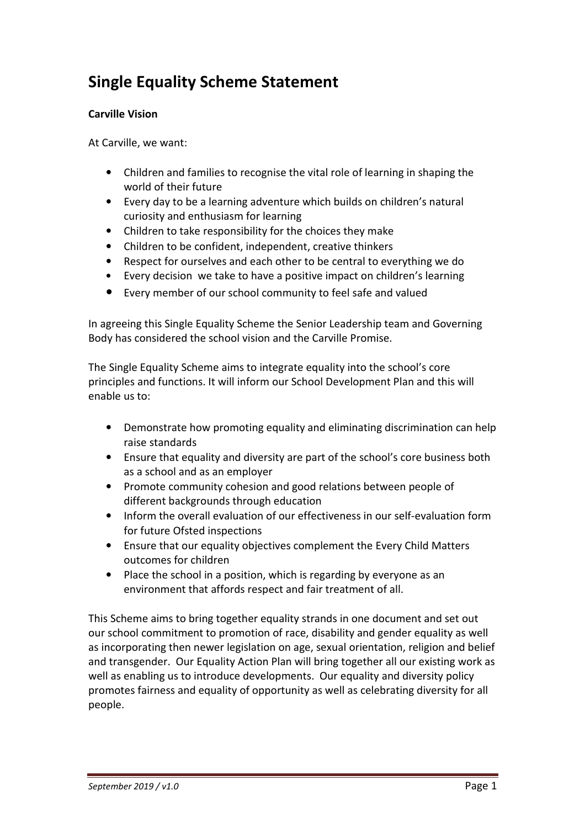## **Single Equality Scheme Statement**

#### **Carville Vision**

At Carville, we want:

- Children and families to recognise the vital role of learning in shaping the world of their future
- Every day to be a learning adventure which builds on children's natural curiosity and enthusiasm for learning
- Children to take responsibility for the choices they make
- Children to be confident, independent, creative thinkers
- Respect for ourselves and each other to be central to everything we do
- Every decision we take to have a positive impact on children's learning
- Every member of our school community to feel safe and valued

In agreeing this Single Equality Scheme the Senior Leadership team and Governing Body has considered the school vision and the Carville Promise.

The Single Equality Scheme aims to integrate equality into the school's core principles and functions. It will inform our School Development Plan and this will enable us to:

- Demonstrate how promoting equality and eliminating discrimination can help raise standards
- Ensure that equality and diversity are part of the school's core business both as a school and as an employer
- Promote community cohesion and good relations between people of different backgrounds through education
- Inform the overall evaluation of our effectiveness in our self-evaluation form for future Ofsted inspections
- Ensure that our equality objectives complement the Every Child Matters outcomes for children
- Place the school in a position, which is regarding by everyone as an environment that affords respect and fair treatment of all.

This Scheme aims to bring together equality strands in one document and set out our school commitment to promotion of race, disability and gender equality as well as incorporating then newer legislation on age, sexual orientation, religion and belief and transgender. Our Equality Action Plan will bring together all our existing work as well as enabling us to introduce developments. Our equality and diversity policy promotes fairness and equality of opportunity as well as celebrating diversity for all people.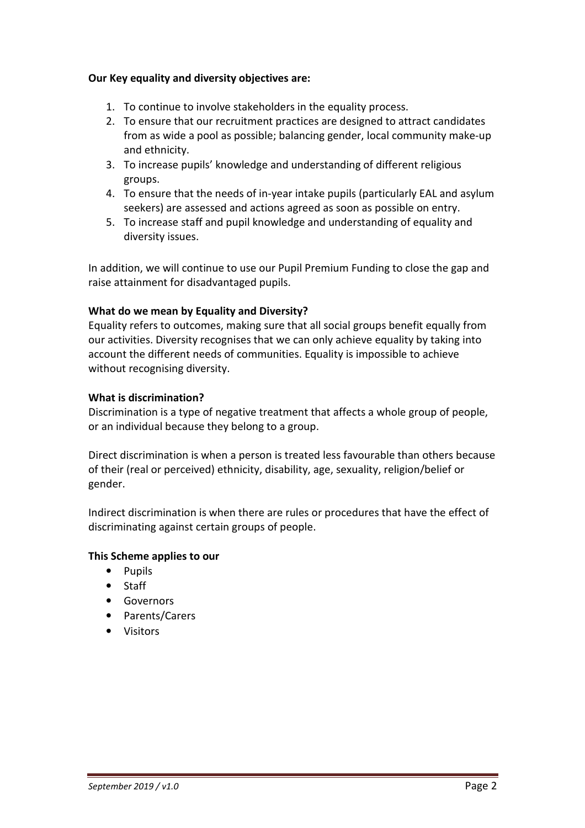#### **Our Key equality and diversity objectives are:**

- 1. To continue to involve stakeholders in the equality process.
- 2. To ensure that our recruitment practices are designed to attract candidates from as wide a pool as possible; balancing gender, local community make-up and ethnicity.
- 3. To increase pupils' knowledge and understanding of different religious groups.
- 4. To ensure that the needs of in-year intake pupils (particularly EAL and asylum seekers) are assessed and actions agreed as soon as possible on entry.
- 5. To increase staff and pupil knowledge and understanding of equality and diversity issues.

In addition, we will continue to use our Pupil Premium Funding to close the gap and raise attainment for disadvantaged pupils.

#### **What do we mean by Equality and Diversity?**

Equality refers to outcomes, making sure that all social groups benefit equally from our activities. Diversity recognises that we can only achieve equality by taking into account the different needs of communities. Equality is impossible to achieve without recognising diversity.

#### **What is discrimination?**

Discrimination is a type of negative treatment that affects a whole group of people, or an individual because they belong to a group.

Direct discrimination is when a person is treated less favourable than others because of their (real or perceived) ethnicity, disability, age, sexuality, religion/belief or gender.

Indirect discrimination is when there are rules or procedures that have the effect of discriminating against certain groups of people.

#### **This Scheme applies to our**

- Pupils
- Staff
- Governors
- Parents/Carers
- Visitors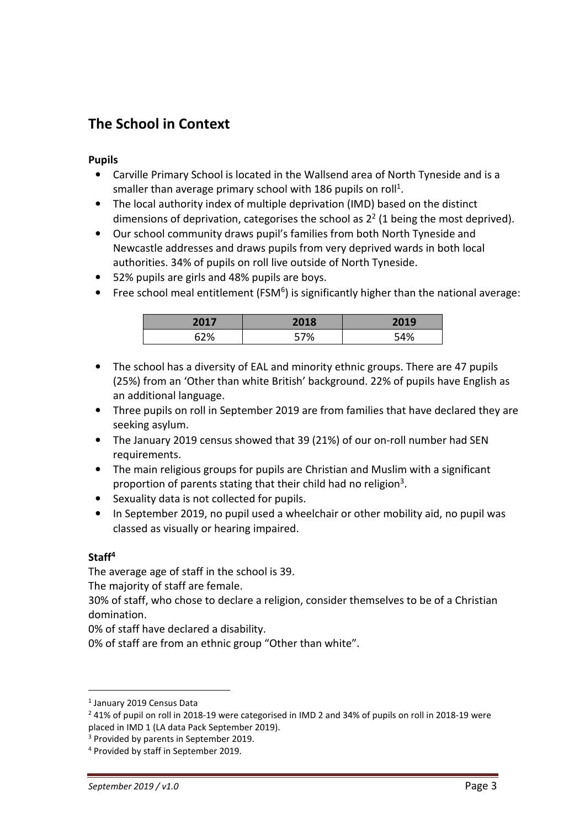### **The School in Context**

#### **Pupils**

- Carville Primary School is located in the Wallsend area of North Tyneside and is a smaller than average primary school with 186 pupils on roll<sup>1</sup>.
- The local authority index of multiple deprivation (IMD) based on the distinct dimensions of deprivation, categorises the school as  $2^2$  (1 being the most deprived).
- Our school community draws pupil's families from both North Tyneside and Newcastle addresses and draws pupils from very deprived wards in both local authorities. 34% of pupils on roll live outside of North Tyneside.
- 52% pupils are girls and 48% pupils are boys.
- Free school meal entitlement (FSM<sup>6</sup>) is significantly higher than the national average:

| 201 | 2018 | 2019 |
|-----|------|------|
| 67% | 70   | 54%  |

- The school has a diversity of EAL and minority ethnic groups. There are 47 pupils (25%) from an 'Other than white British' background. 22% of pupils have English as an additional language.
- Three pupils on roll in September 2019 are from families that have declared they are seeking asylum.
- The January 2019 census showed that 39 (21%) of our on-roll number had SEN requirements.
- The main religious groups for pupils are Christian and Muslim with a significant proportion of parents stating that their child had no religion<sup>3</sup>.
- Sexuality data is not collected for pupils.
- In September 2019, no pupil used a wheelchair or other mobility aid, no pupil was classed as visually or hearing impaired.

#### **Staff<sup>4</sup>**

 $\overline{a}$ 

The average age of staff in the school is 39.

The majority of staff are female.

30% of staff, who chose to declare a religion, consider themselves to be of a Christian domination.

0% of staff have declared a disability.

0% of staff are from an ethnic group "Other than white".

<sup>1</sup> January 2019 Census Data

 $2$  41% of pupil on roll in 2018-19 were categorised in IMD 2 and 34% of pupils on roll in 2018-19 were placed in IMD 1 (LA data Pack September 2019).

<sup>&</sup>lt;sup>3</sup> Provided by parents in September 2019.

<sup>4</sup> Provided by staff in September 2019.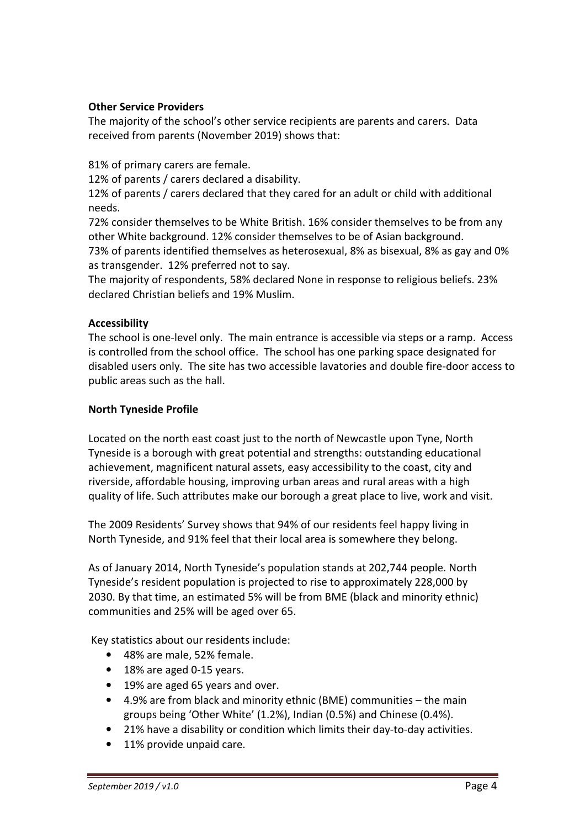#### **Other Service Providers**

The majority of the school's other service recipients are parents and carers. Data received from parents (November 2019) shows that:

81% of primary carers are female.

12% of parents / carers declared a disability.

12% of parents / carers declared that they cared for an adult or child with additional needs.

72% consider themselves to be White British. 16% consider themselves to be from any other White background. 12% consider themselves to be of Asian background.

73% of parents identified themselves as heterosexual, 8% as bisexual, 8% as gay and 0% as transgender. 12% preferred not to say.

The majority of respondents, 58% declared None in response to religious beliefs. 23% declared Christian beliefs and 19% Muslim.

#### **Accessibility**

The school is one-level only. The main entrance is accessible via steps or a ramp. Access is controlled from the school office. The school has one parking space designated for disabled users only. The site has two accessible lavatories and double fire-door access to public areas such as the hall.

#### **North Tyneside Profile**

Located on the north east coast just to the north of Newcastle upon Tyne, North Tyneside is a borough with great potential and strengths: outstanding educational achievement, magnificent natural assets, easy accessibility to the coast, city and riverside, affordable housing, improving urban areas and rural areas with a high quality of life. Such attributes make our borough a great place to live, work and visit.

The 2009 Residents' Survey shows that 94% of our residents feel happy living in North Tyneside, and 91% feel that their local area is somewhere they belong.

As of January 2014, North Tyneside's population stands at 202,744 people. North Tyneside's resident population is projected to rise to approximately 228,000 by 2030. By that time, an estimated 5% will be from BME (black and minority ethnic) communities and 25% will be aged over 65.

Key statistics about our residents include:

- 48% are male, 52% female.
- 18% are aged 0-15 years.
- 19% are aged 65 years and over.
- 4.9% are from black and minority ethnic (BME) communities the main groups being 'Other White' (1.2%), Indian (0.5%) and Chinese (0.4%).
- 21% have a disability or condition which limits their day-to-day activities.
- 11% provide unpaid care.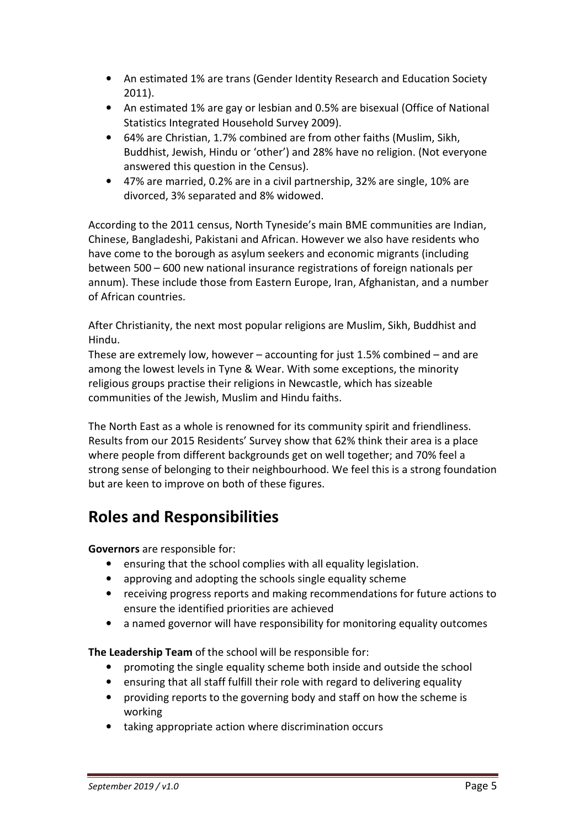- An estimated 1% are trans (Gender Identity Research and Education Society 2011).
- An estimated 1% are gay or lesbian and 0.5% are bisexual (Office of National Statistics Integrated Household Survey 2009).
- 64% are Christian, 1.7% combined are from other faiths (Muslim, Sikh, Buddhist, Jewish, Hindu or 'other') and 28% have no religion. (Not everyone answered this question in the Census).
- 47% are married, 0.2% are in a civil partnership, 32% are single, 10% are divorced, 3% separated and 8% widowed.

According to the 2011 census, North Tyneside's main BME communities are Indian, Chinese, Bangladeshi, Pakistani and African. However we also have residents who have come to the borough as asylum seekers and economic migrants (including between 500 – 600 new national insurance registrations of foreign nationals per annum). These include those from Eastern Europe, Iran, Afghanistan, and a number of African countries.

After Christianity, the next most popular religions are Muslim, Sikh, Buddhist and Hindu.

These are extremely low, however – accounting for just 1.5% combined – and are among the lowest levels in Tyne & Wear. With some exceptions, the minority religious groups practise their religions in Newcastle, which has sizeable communities of the Jewish, Muslim and Hindu faiths.

The North East as a whole is renowned for its community spirit and friendliness. Results from our 2015 Residents' Survey show that 62% think their area is a place where people from different backgrounds get on well together; and 70% feel a strong sense of belonging to their neighbourhood. We feel this is a strong foundation but are keen to improve on both of these figures.

## **Roles and Responsibilities**

**Governors** are responsible for:

- ensuring that the school complies with all equality legislation.
- approving and adopting the schools single equality scheme
- receiving progress reports and making recommendations for future actions to ensure the identified priorities are achieved
- a named governor will have responsibility for monitoring equality outcomes

**The Leadership Team** of the school will be responsible for:

- promoting the single equality scheme both inside and outside the school
- ensuring that all staff fulfill their role with regard to delivering equality
- providing reports to the governing body and staff on how the scheme is working
- taking appropriate action where discrimination occurs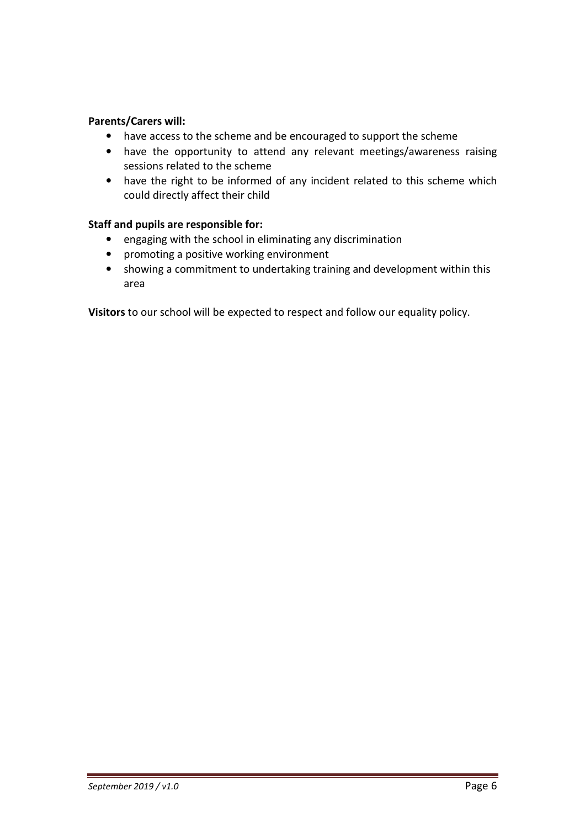#### **Parents/Carers will:**

- have access to the scheme and be encouraged to support the scheme
- have the opportunity to attend any relevant meetings/awareness raising sessions related to the scheme
- have the right to be informed of any incident related to this scheme which could directly affect their child

#### **Staff and pupils are responsible for:**

- engaging with the school in eliminating any discrimination
- promoting a positive working environment
- showing a commitment to undertaking training and development within this area

**Visitors** to our school will be expected to respect and follow our equality policy.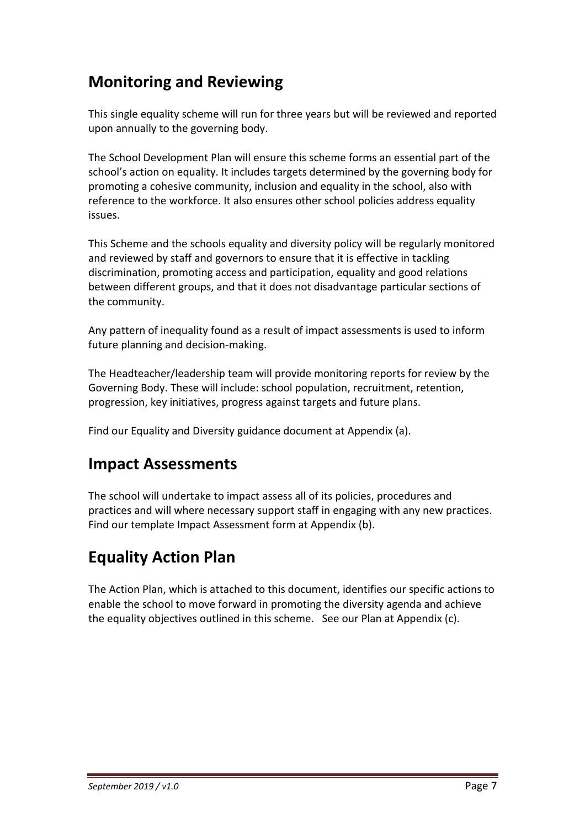## **Monitoring and Reviewing**

This single equality scheme will run for three years but will be reviewed and reported upon annually to the governing body.

The School Development Plan will ensure this scheme forms an essential part of the school's action on equality. It includes targets determined by the governing body for promoting a cohesive community, inclusion and equality in the school, also with reference to the workforce. It also ensures other school policies address equality issues.

This Scheme and the schools equality and diversity policy will be regularly monitored and reviewed by staff and governors to ensure that it is effective in tackling discrimination, promoting access and participation, equality and good relations between different groups, and that it does not disadvantage particular sections of the community.

Any pattern of inequality found as a result of impact assessments is used to inform future planning and decision-making.

The Headteacher/leadership team will provide monitoring reports for review by the Governing Body. These will include: school population, recruitment, retention, progression, key initiatives, progress against targets and future plans.

Find our Equality and Diversity guidance document at Appendix (a).

## **Impact Assessments**

The school will undertake to impact assess all of its policies, procedures and practices and will where necessary support staff in engaging with any new practices. Find our template Impact Assessment form at Appendix (b).

## **Equality Action Plan**

The Action Plan, which is attached to this document, identifies our specific actions to enable the school to move forward in promoting the diversity agenda and achieve the equality objectives outlined in this scheme. See our Plan at Appendix (c).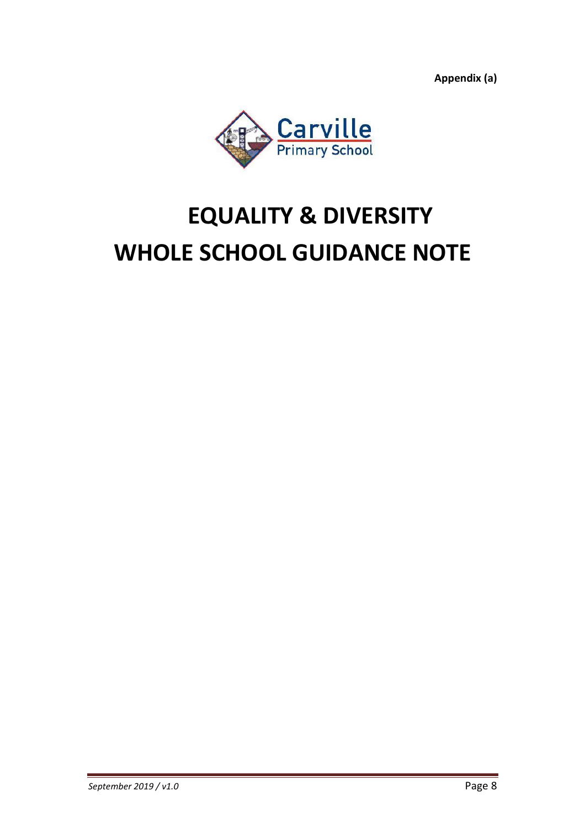**Appendix (a)** 



# **EQUALITY & DIVERSITY WHOLE SCHOOL GUIDANCE NOTE**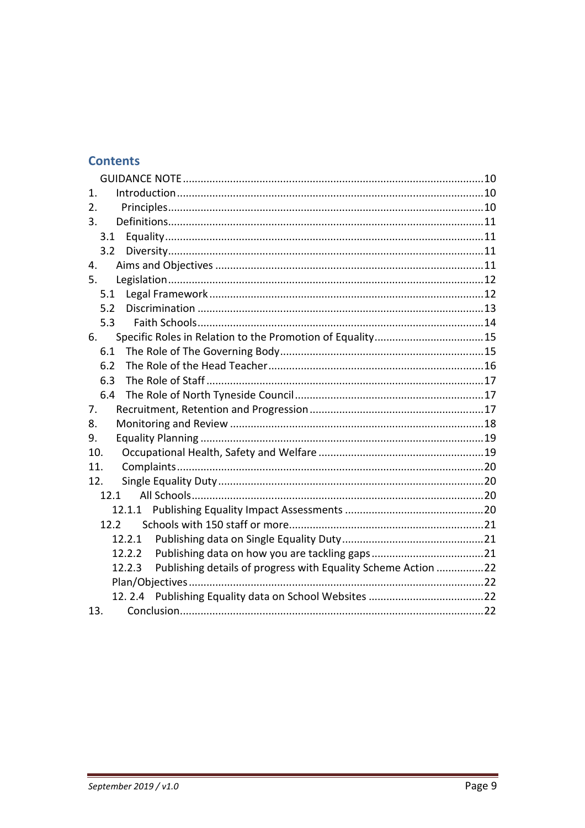#### **Contents**

| $\mathbf{1}$ .                                                          |  |
|-------------------------------------------------------------------------|--|
| 2.                                                                      |  |
| 3.                                                                      |  |
| 3.1                                                                     |  |
| 3.2                                                                     |  |
| 4.                                                                      |  |
| 5.                                                                      |  |
| 5.1                                                                     |  |
| 5.2                                                                     |  |
| 5.3                                                                     |  |
| 6.                                                                      |  |
| 6.1                                                                     |  |
| 6.2                                                                     |  |
| 6.3                                                                     |  |
| 6.4                                                                     |  |
| 7.                                                                      |  |
| 8.                                                                      |  |
| 9.                                                                      |  |
| 10.                                                                     |  |
| 11.                                                                     |  |
| 12.                                                                     |  |
| 12.1                                                                    |  |
| 12.1.1                                                                  |  |
| 12.2 <sub>2</sub>                                                       |  |
| 12.2.1                                                                  |  |
| 12.2.2                                                                  |  |
| Publishing details of progress with Equality Scheme Action 22<br>12.2.3 |  |
|                                                                         |  |
|                                                                         |  |
| 13.                                                                     |  |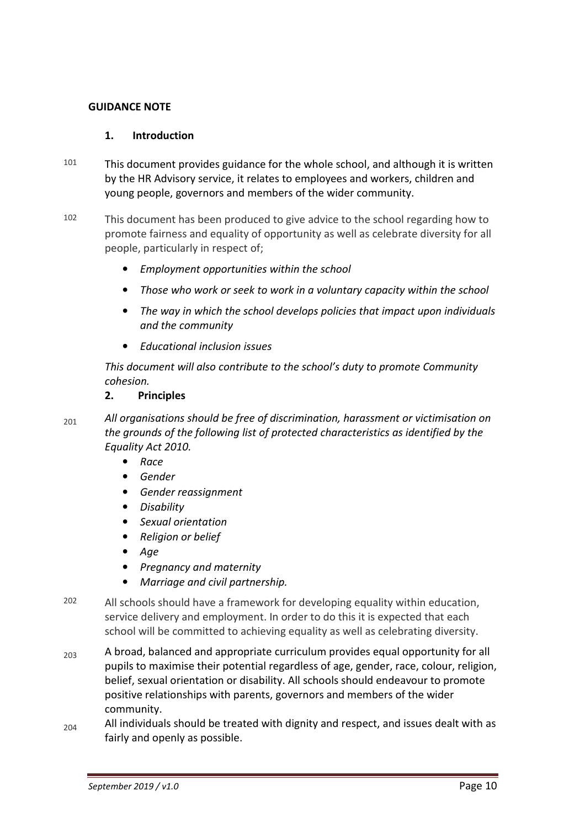#### **GUIDANCE NOTE**

#### **1. Introduction**

- $101$  This document provides guidance for the whole school, and although it is written by the HR Advisory service, it relates to employees and workers, children and young people, governors and members of the wider community.
- 102 This document has been produced to give advice to the school regarding how to promote fairness and equality of opportunity as well as celebrate diversity for all people, particularly in respect of;
	- *Employment opportunities within the school*
	- *Those who work or seek to work in a voluntary capacity within the school*
	- *The way in which the school develops policies that impact upon individuals and the community*
	- *Educational inclusion issues*

*This document will also contribute to the school's duty to promote Community cohesion.* 

#### **2. Principles**

<sup>201</sup>*All organisations should be free of discrimination, harassment or victimisation on the grounds of the following list of protected characteristics as identified by the Equality Act 2010.* 

- *Race*
- *Gender*
- *Gender reassignment*
- *Disability*
- *Sexual orientation*
- *Religion or belief*
- *Age*
- *Pregnancy and maternity*
- *Marriage and civil partnership.*
- 202 All schools should have a framework for developing equality within education, service delivery and employment. In order to do this it is expected that each school will be committed to achieving equality as well as celebrating diversity.
- $_{203}$  A broad, balanced and appropriate curriculum provides equal opportunity for all pupils to maximise their potential regardless of age, gender, race, colour, religion, belief, sexual orientation or disability. All schools should endeavour to promote positive relationships with parents, governors and members of the wider community.
- $_{204}$  All individuals should be treated with dignity and respect, and issues dealt with as fairly and openly as possible.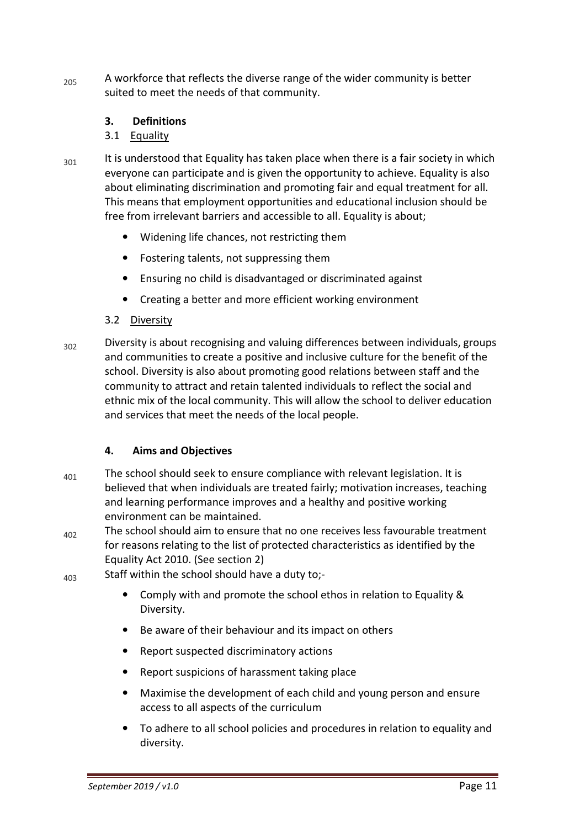$205$  A workforce that reflects the diverse range of the wider community is better suited to meet the needs of that community.

#### **3. Definitions**

#### 3.1 Equality

- $301$  It is understood that Equality has taken place when there is a fair society in which everyone can participate and is given the opportunity to achieve. Equality is also about eliminating discrimination and promoting fair and equal treatment for all. This means that employment opportunities and educational inclusion should be free from irrelevant barriers and accessible to all. Equality is about;
	- Widening life chances, not restricting them
	- Fostering talents, not suppressing them
	- Ensuring no child is disadvantaged or discriminated against
	- Creating a better and more efficient working environment

#### 3.2 Diversity

 $302$  Diversity is about recognising and valuing differences between individuals, groups and communities to create a positive and inclusive culture for the benefit of the school. Diversity is also about promoting good relations between staff and the community to attract and retain talented individuals to reflect the social and ethnic mix of the local community. This will allow the school to deliver education and services that meet the needs of the local people.

#### **4. Aims and Objectives**

- $_{401}$  The school should seek to ensure compliance with relevant legislation. It is believed that when individuals are treated fairly; motivation increases, teaching and learning performance improves and a healthy and positive working environment can be maintained.
- $402$  The school should aim to ensure that no one receives less favourable treatment for reasons relating to the list of protected characteristics as identified by the Equality Act 2010. (See section 2)
- $_{403}$  Staff within the school should have a duty to;-
	- Comply with and promote the school ethos in relation to Equality & Diversity.
	- Be aware of their behaviour and its impact on others
	- Report suspected discriminatory actions
	- Report suspicions of harassment taking place
	- Maximise the development of each child and young person and ensure access to all aspects of the curriculum
	- To adhere to all school policies and procedures in relation to equality and diversity.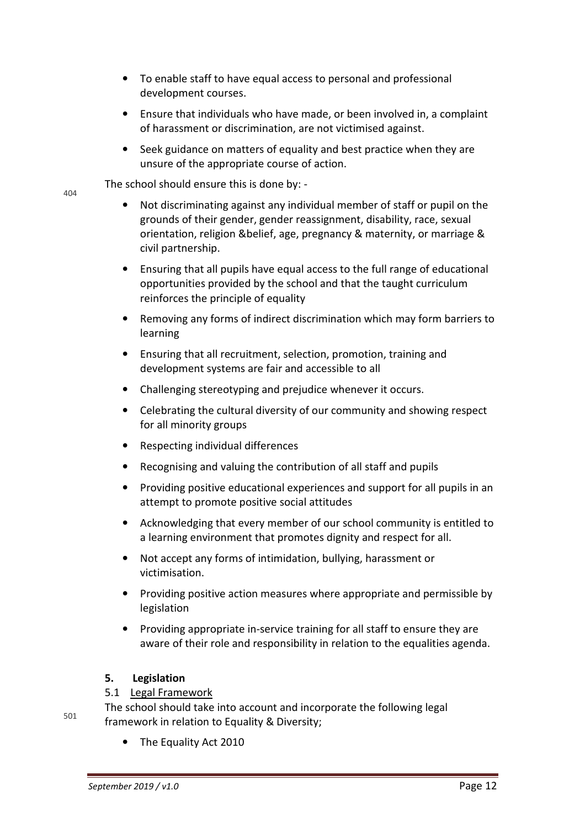- To enable staff to have equal access to personal and professional development courses.
- Ensure that individuals who have made, or been involved in, a complaint of harassment or discrimination, are not victimised against.
- Seek guidance on matters of equality and best practice when they are unsure of the appropriate course of action.

The school should ensure this is done by: -

- Not discriminating against any individual member of staff or pupil on the grounds of their gender, gender reassignment, disability, race, sexual orientation, religion &belief, age, pregnancy & maternity, or marriage & civil partnership.
- Ensuring that all pupils have equal access to the full range of educational opportunities provided by the school and that the taught curriculum reinforces the principle of equality
- Removing any forms of indirect discrimination which may form barriers to learning
- Ensuring that all recruitment, selection, promotion, training and development systems are fair and accessible to all
- Challenging stereotyping and prejudice whenever it occurs.
- Celebrating the cultural diversity of our community and showing respect for all minority groups
- Respecting individual differences
- Recognising and valuing the contribution of all staff and pupils
- Providing positive educational experiences and support for all pupils in an attempt to promote positive social attitudes
- Acknowledging that every member of our school community is entitled to a learning environment that promotes dignity and respect for all.
- Not accept any forms of intimidation, bullying, harassment or victimisation.
- Providing positive action measures where appropriate and permissible by legislation
- Providing appropriate in-service training for all staff to ensure they are aware of their role and responsibility in relation to the equalities agenda.

#### **5. Legislation**

#### 5.1 Legal Framework

501 The school should take into account and incorporate the following legal framework in relation to Equality & Diversity;

• The Equality Act 2010

404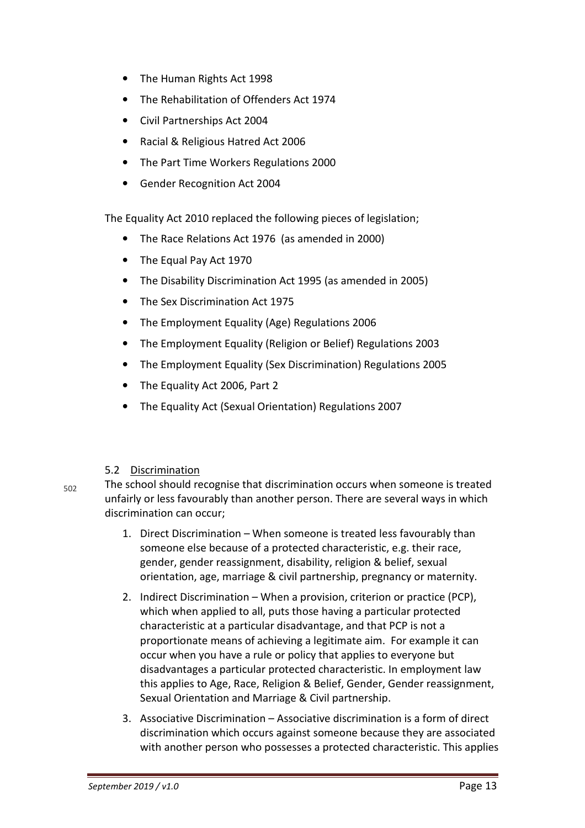- The Human Rights Act 1998
- The Rehabilitation of Offenders Act 1974
- Civil Partnerships Act 2004
- Racial & Religious Hatred Act 2006
- The Part Time Workers Regulations 2000
- Gender Recognition Act 2004

The Equality Act 2010 replaced the following pieces of legislation;

- The Race Relations Act 1976 (as amended in 2000)
- The Equal Pay Act 1970
- The Disability Discrimination Act 1995 (as amended in 2005)
- The Sex Discrimination Act 1975
- The Employment Equality (Age) Regulations 2006
- The Employment Equality (Religion or Belief) Regulations 2003
- The Employment Equality (Sex Discrimination) Regulations 2005
- The Equality Act 2006, Part 2
- The Equality Act (Sexual Orientation) Regulations 2007

#### 5.2 Discrimination

 $502$  The school should recognise that discrimination occurs when someone is treated unfairly or less favourably than another person. There are several ways in which discrimination can occur;

- 1. Direct Discrimination When someone is treated less favourably than someone else because of a protected characteristic, e.g. their race, gender, gender reassignment, disability, religion & belief, sexual orientation, age, marriage & civil partnership, pregnancy or maternity.
- 2. Indirect Discrimination When a provision, criterion or practice (PCP), which when applied to all, puts those having a particular protected characteristic at a particular disadvantage, and that PCP is not a proportionate means of achieving a legitimate aim. For example it can occur when you have a rule or policy that applies to everyone but disadvantages a particular protected characteristic. In employment law this applies to Age, Race, Religion & Belief, Gender, Gender reassignment, Sexual Orientation and Marriage & Civil partnership.
- 3. Associative Discrimination Associative discrimination is a form of direct discrimination which occurs against someone because they are associated with another person who possesses a protected characteristic. This applies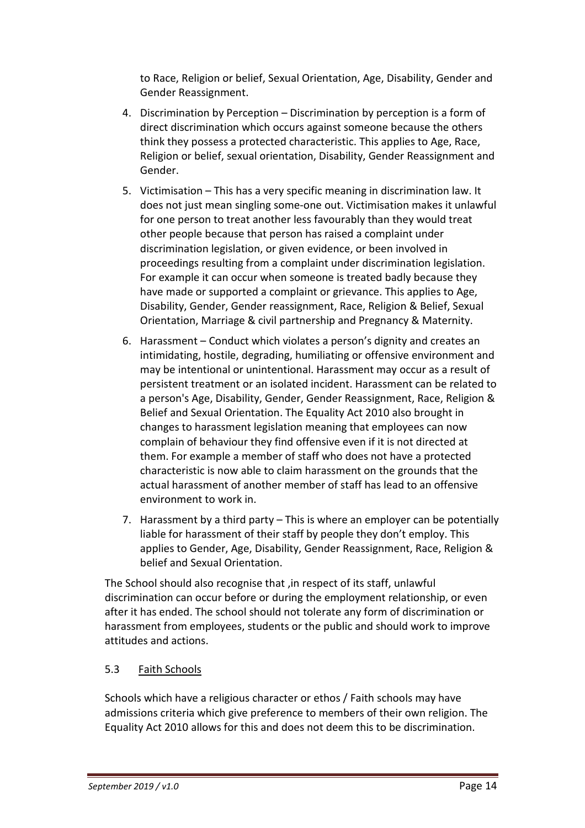to Race, Religion or belief, Sexual Orientation, Age, Disability, Gender and Gender Reassignment.

- 4. Discrimination by Perception Discrimination by perception is a form of direct discrimination which occurs against someone because the others think they possess a protected characteristic. This applies to Age, Race, Religion or belief, sexual orientation, Disability, Gender Reassignment and Gender.
- 5. Victimisation This has a very specific meaning in discrimination law. It does not just mean singling some-one out. Victimisation makes it unlawful for one person to treat another less favourably than they would treat other people because that person has raised a complaint under discrimination legislation, or given evidence, or been involved in proceedings resulting from a complaint under discrimination legislation. For example it can occur when someone is treated badly because they have made or supported a complaint or grievance. This applies to Age, Disability, Gender, Gender reassignment, Race, Religion & Belief, Sexual Orientation, Marriage & civil partnership and Pregnancy & Maternity.
- 6. Harassment Conduct which violates a person's dignity and creates an intimidating, hostile, degrading, humiliating or offensive environment and may be intentional or unintentional. Harassment may occur as a result of persistent treatment or an isolated incident. Harassment can be related to a person's Age, Disability, Gender, Gender Reassignment, Race, Religion & Belief and Sexual Orientation. The Equality Act 2010 also brought in changes to harassment legislation meaning that employees can now complain of behaviour they find offensive even if it is not directed at them. For example a member of staff who does not have a protected characteristic is now able to claim harassment on the grounds that the actual harassment of another member of staff has lead to an offensive environment to work in.
- 7. Harassment by a third party This is where an employer can be potentially liable for harassment of their staff by people they don't employ. This applies to Gender, Age, Disability, Gender Reassignment, Race, Religion & belief and Sexual Orientation.

The School should also recognise that ,in respect of its staff, unlawful discrimination can occur before or during the employment relationship, or even after it has ended. The school should not tolerate any form of discrimination or harassment from employees, students or the public and should work to improve attitudes and actions.

#### 5.3 Faith Schools

Schools which have a religious character or ethos / Faith schools may have admissions criteria which give preference to members of their own religion. The Equality Act 2010 allows for this and does not deem this to be discrimination.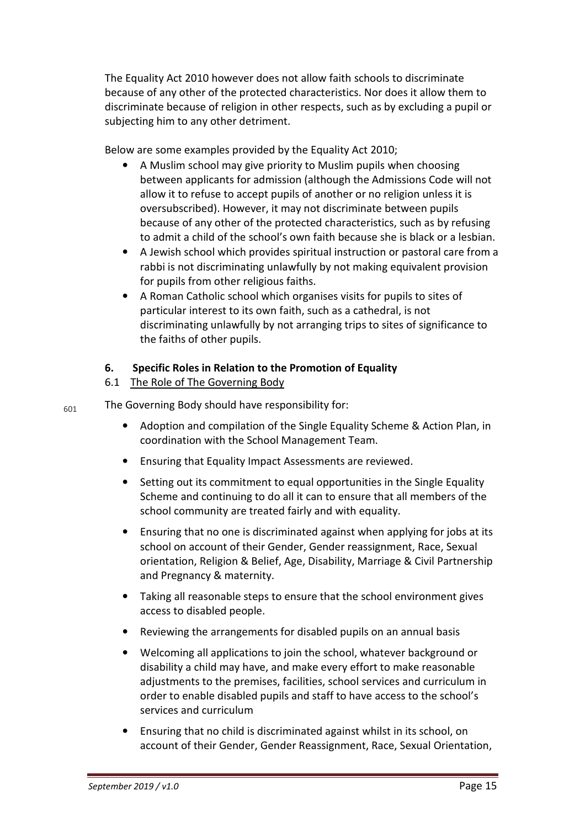The Equality Act 2010 however does not allow faith schools to discriminate because of any other of the protected characteristics. Nor does it allow them to discriminate because of religion in other respects, such as by excluding a pupil or subjecting him to any other detriment.

Below are some examples provided by the Equality Act 2010;

- A Muslim school may give priority to Muslim pupils when choosing between applicants for admission (although the Admissions Code will not allow it to refuse to accept pupils of another or no religion unless it is oversubscribed). However, it may not discriminate between pupils because of any other of the protected characteristics, such as by refusing to admit a child of the school's own faith because she is black or a lesbian.
- A Jewish school which provides spiritual instruction or pastoral care from a rabbi is not discriminating unlawfully by not making equivalent provision for pupils from other religious faiths.
- A Roman Catholic school which organises visits for pupils to sites of particular interest to its own faith, such as a cathedral, is not discriminating unlawfully by not arranging trips to sites of significance to the faiths of other pupils.

#### **6. Specific Roles in Relation to the Promotion of Equality**

#### 6.1 The Role of The Governing Body

 $_{601}$  The Governing Body should have responsibility for:

- Adoption and compilation of the Single Equality Scheme & Action Plan, in coordination with the School Management Team.
- Ensuring that Equality Impact Assessments are reviewed.
- Setting out its commitment to equal opportunities in the Single Equality Scheme and continuing to do all it can to ensure that all members of the school community are treated fairly and with equality.
- Ensuring that no one is discriminated against when applying for jobs at its school on account of their Gender, Gender reassignment, Race, Sexual orientation, Religion & Belief, Age, Disability, Marriage & Civil Partnership and Pregnancy & maternity.
- Taking all reasonable steps to ensure that the school environment gives access to disabled people.
- Reviewing the arrangements for disabled pupils on an annual basis
- Welcoming all applications to join the school, whatever background or disability a child may have, and make every effort to make reasonable adjustments to the premises, facilities, school services and curriculum in order to enable disabled pupils and staff to have access to the school's services and curriculum
- Ensuring that no child is discriminated against whilst in its school, on account of their Gender, Gender Reassignment, Race, Sexual Orientation,

*September 2019 / v1.0* Page 15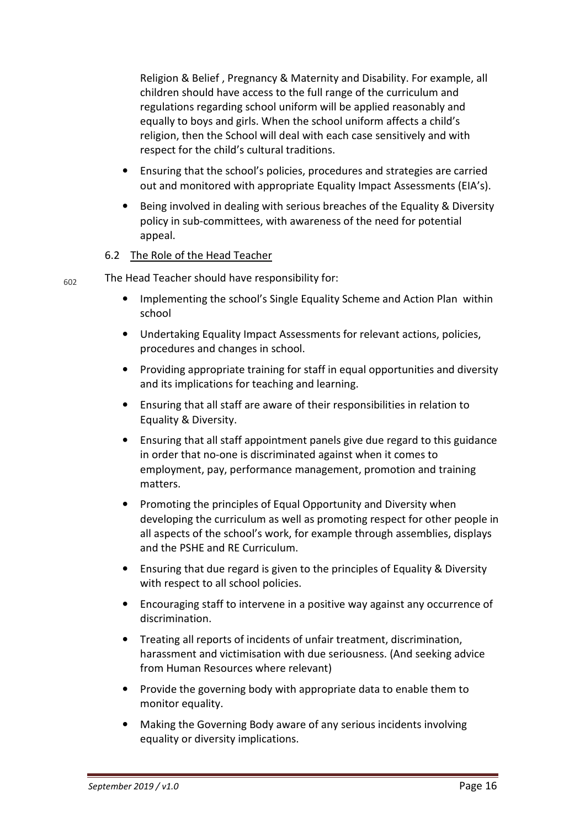Religion & Belief , Pregnancy & Maternity and Disability. For example, all children should have access to the full range of the curriculum and regulations regarding school uniform will be applied reasonably and equally to boys and girls. When the school uniform affects a child's religion, then the School will deal with each case sensitively and with respect for the child's cultural traditions.

- Ensuring that the school's policies, procedures and strategies are carried out and monitored with appropriate Equality Impact Assessments (EIA's).
- Being involved in dealing with serious breaches of the Equality & Diversity policy in sub-committees, with awareness of the need for potential appeal.

#### 6.2 The Role of the Head Teacher

 $_{602}$  The Head Teacher should have responsibility for:

- Implementing the school's Single Equality Scheme and Action Plan within school
- Undertaking Equality Impact Assessments for relevant actions, policies, procedures and changes in school.
- Providing appropriate training for staff in equal opportunities and diversity and its implications for teaching and learning.
- Ensuring that all staff are aware of their responsibilities in relation to Equality & Diversity.
- Ensuring that all staff appointment panels give due regard to this guidance in order that no-one is discriminated against when it comes to employment, pay, performance management, promotion and training matters.
- Promoting the principles of Equal Opportunity and Diversity when developing the curriculum as well as promoting respect for other people in all aspects of the school's work, for example through assemblies, displays and the PSHE and RE Curriculum.
- Ensuring that due regard is given to the principles of Equality & Diversity with respect to all school policies.
- Encouraging staff to intervene in a positive way against any occurrence of discrimination.
- Treating all reports of incidents of unfair treatment, discrimination, harassment and victimisation with due seriousness. (And seeking advice from Human Resources where relevant)
- Provide the governing body with appropriate data to enable them to monitor equality.
- Making the Governing Body aware of any serious incidents involving equality or diversity implications.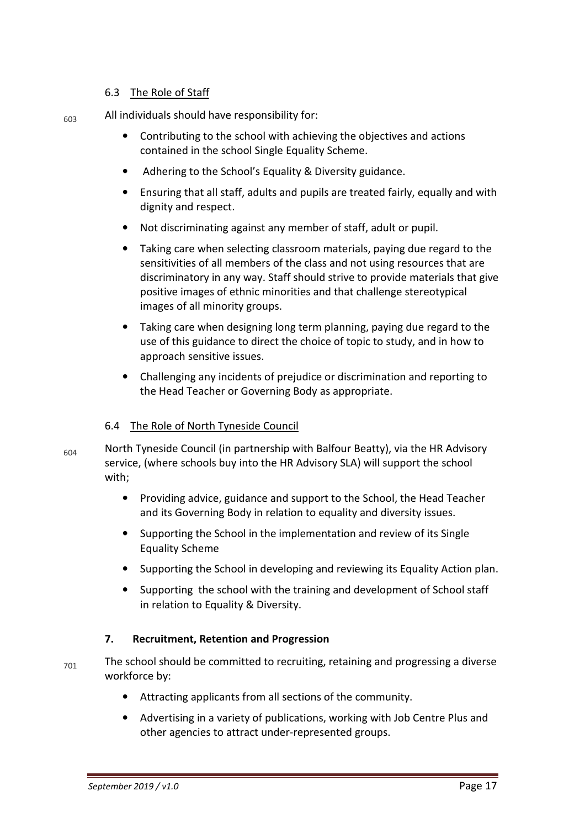#### 6.3 The Role of Staff

 $_{603}$  All individuals should have responsibility for:

- Contributing to the school with achieving the objectives and actions contained in the school Single Equality Scheme.
- Adhering to the School's Equality & Diversity guidance.
- Ensuring that all staff, adults and pupils are treated fairly, equally and with dignity and respect.
- Not discriminating against any member of staff, adult or pupil.
- Taking care when selecting classroom materials, paying due regard to the sensitivities of all members of the class and not using resources that are discriminatory in any way. Staff should strive to provide materials that give positive images of ethnic minorities and that challenge stereotypical images of all minority groups.
- Taking care when designing long term planning, paying due regard to the use of this guidance to direct the choice of topic to study, and in how to approach sensitive issues.
- Challenging any incidents of prejudice or discrimination and reporting to the Head Teacher or Governing Body as appropriate.

#### 6.4 The Role of North Tyneside Council

- $_{604}$  North Tyneside Council (in partnership with Balfour Beatty), via the HR Advisory service, (where schools buy into the HR Advisory SLA) will support the school with;
	- Providing advice, guidance and support to the School, the Head Teacher and its Governing Body in relation to equality and diversity issues.
	- Supporting the School in the implementation and review of its Single Equality Scheme
	- Supporting the School in developing and reviewing its Equality Action plan.
	- Supporting the school with the training and development of School staff in relation to Equality & Diversity.

#### **7. Recruitment, Retention and Progression**

- $_{701}$  The school should be committed to recruiting, retaining and progressing a diverse workforce by:
	- Attracting applicants from all sections of the community.
	- Advertising in a variety of publications, working with Job Centre Plus and other agencies to attract under-represented groups.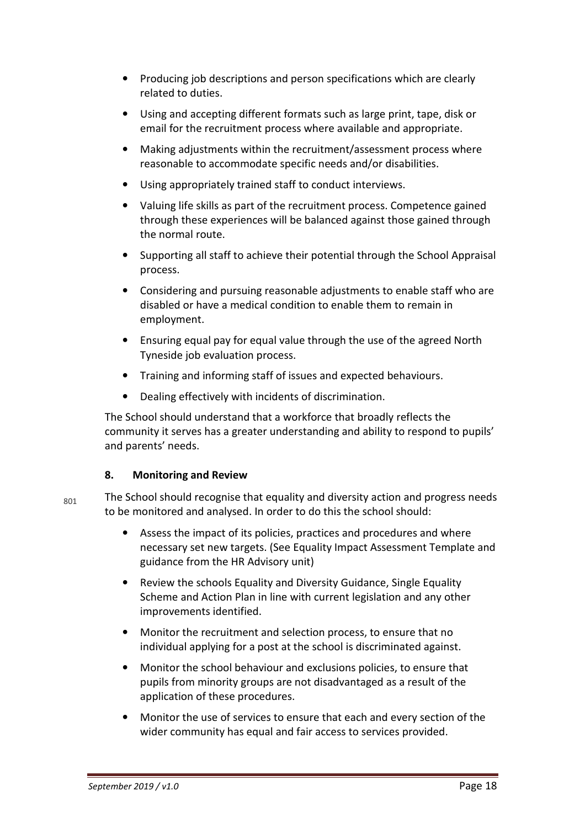- Producing job descriptions and person specifications which are clearly related to duties.
- Using and accepting different formats such as large print, tape, disk or email for the recruitment process where available and appropriate.
- Making adjustments within the recruitment/assessment process where reasonable to accommodate specific needs and/or disabilities.
- Using appropriately trained staff to conduct interviews.
- Valuing life skills as part of the recruitment process. Competence gained through these experiences will be balanced against those gained through the normal route.
- Supporting all staff to achieve their potential through the School Appraisal process.
- Considering and pursuing reasonable adjustments to enable staff who are disabled or have a medical condition to enable them to remain in employment.
- Ensuring equal pay for equal value through the use of the agreed North Tyneside job evaluation process.
- Training and informing staff of issues and expected behaviours.
- Dealing effectively with incidents of discrimination.

The School should understand that a workforce that broadly reflects the community it serves has a greater understanding and ability to respond to pupils' and parents' needs.

#### **8. Monitoring and Review**

 $_{801}$  The School should recognise that equality and diversity action and progress needs to be monitored and analysed. In order to do this the school should:

- Assess the impact of its policies, practices and procedures and where necessary set new targets. (See Equality Impact Assessment Template and guidance from the HR Advisory unit)
- Review the schools Equality and Diversity Guidance, Single Equality Scheme and Action Plan in line with current legislation and any other improvements identified.
- Monitor the recruitment and selection process, to ensure that no individual applying for a post at the school is discriminated against.
- Monitor the school behaviour and exclusions policies, to ensure that pupils from minority groups are not disadvantaged as a result of the application of these procedures.
- Monitor the use of services to ensure that each and every section of the wider community has equal and fair access to services provided.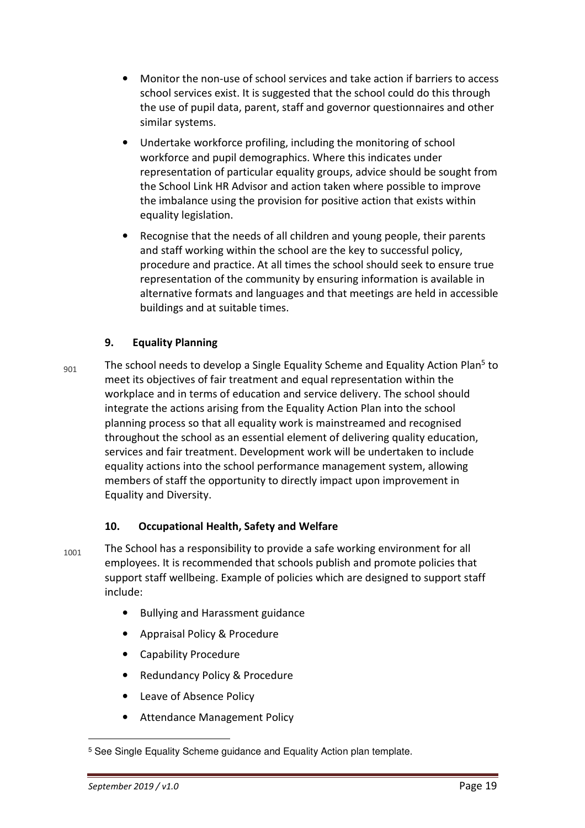- Monitor the non-use of school services and take action if barriers to access school services exist. It is suggested that the school could do this through the use of pupil data, parent, staff and governor questionnaires and other similar systems.
- Undertake workforce profiling, including the monitoring of school workforce and pupil demographics. Where this indicates under representation of particular equality groups, advice should be sought from the School Link HR Advisor and action taken where possible to improve the imbalance using the provision for positive action that exists within equality legislation.
- Recognise that the needs of all children and young people, their parents and staff working within the school are the key to successful policy, procedure and practice. At all times the school should seek to ensure true representation of the community by ensuring information is available in alternative formats and languages and that meetings are held in accessible buildings and at suitable times.

#### **9. Equality Planning**

 $_{901}$  The school needs to develop a Single Equality Scheme and Equality Action Plan<sup>5</sup> to meet its objectives of fair treatment and equal representation within the workplace and in terms of education and service delivery. The school should integrate the actions arising from the Equality Action Plan into the school planning process so that all equality work is mainstreamed and recognised throughout the school as an essential element of delivering quality education, services and fair treatment. Development work will be undertaken to include equality actions into the school performance management system, allowing members of staff the opportunity to directly impact upon improvement in Equality and Diversity.

#### **10. Occupational Health, Safety and Welfare**

- $_{1001}$  The School has a responsibility to provide a safe working environment for all employees. It is recommended that schools publish and promote policies that support staff wellbeing. Example of policies which are designed to support staff include:
	- Bullying and Harassment guidance
	- Appraisal Policy & Procedure
	- Capability Procedure
	- Redundancy Policy & Procedure
	- Leave of Absence Policy
	- Attendance Management Policy

<sup>5</sup> See Single Equality Scheme guidance and Equality Action plan template.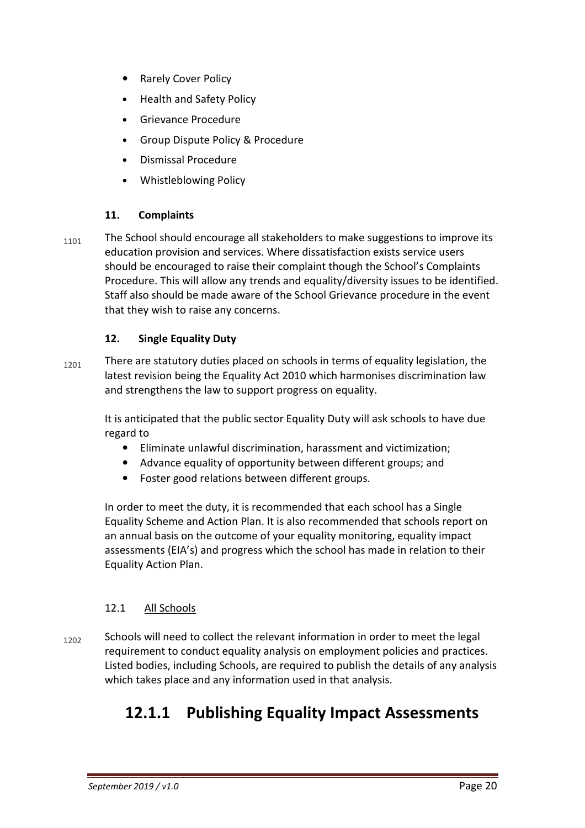- Rarely Cover Policy
- Health and Safety Policy
- Grievance Procedure
- Group Dispute Policy & Procedure
- Dismissal Procedure
- Whistleblowing Policy

#### **11. Complaints**

 $_{1101}$  The School should encourage all stakeholders to make suggestions to improve its education provision and services. Where dissatisfaction exists service users should be encouraged to raise their complaint though the School's Complaints Procedure. This will allow any trends and equality/diversity issues to be identified. Staff also should be made aware of the School Grievance procedure in the event that they wish to raise any concerns.

#### **12. Single Equality Duty**

 $_{1201}$  There are statutory duties placed on schools in terms of equality legislation, the latest revision being the Equality Act 2010 which harmonises discrimination law and strengthens the law to support progress on equality.

It is anticipated that the public sector Equality Duty will ask schools to have due regard to

- Eliminate unlawful discrimination, harassment and victimization;
- Advance equality of opportunity between different groups; and
- Foster good relations between different groups.

In order to meet the duty, it is recommended that each school has a Single Equality Scheme and Action Plan. It is also recommended that schools report on an annual basis on the outcome of your equality monitoring, equality impact assessments (EIA's) and progress which the school has made in relation to their Equality Action Plan.

#### 12.1 All Schools

 $_{1202}$  Schools will need to collect the relevant information in order to meet the legal requirement to conduct equality analysis on employment policies and practices. Listed bodies, including Schools, are required to publish the details of any analysis which takes place and any information used in that analysis.

## **12.1.1 Publishing Equality Impact Assessments**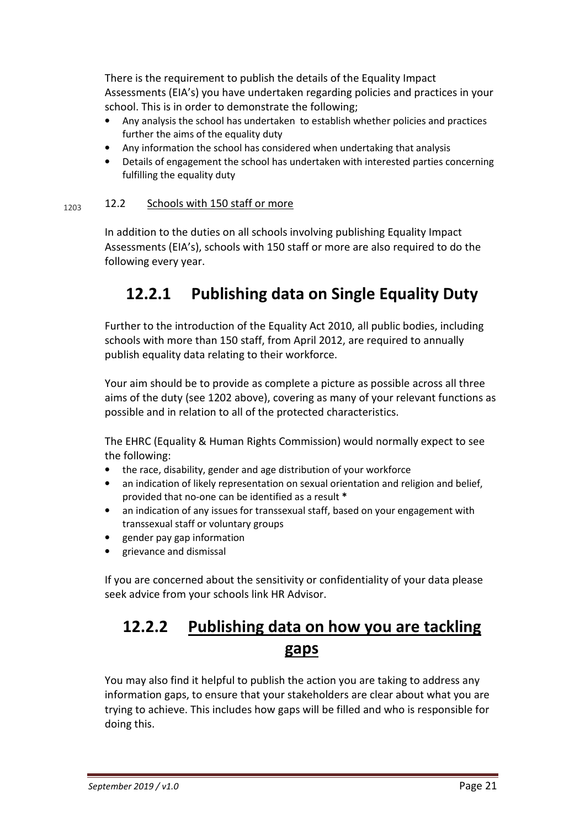There is the requirement to publish the details of the Equality Impact Assessments (EIA's) you have undertaken regarding policies and practices in your school. This is in order to demonstrate the following;

- Any analysis the school has undertaken to establish whether policies and practices further the aims of the equality duty
- Any information the school has considered when undertaking that analysis
- Details of engagement the school has undertaken with interested parties concerning fulfilling the equality duty

#### $1203$  12.2 Schools with 150 staff or more

In addition to the duties on all schools involving publishing Equality Impact Assessments (EIA's), schools with 150 staff or more are also required to do the following every year.

## **12.2.1 Publishing data on Single Equality Duty**

Further to the introduction of the Equality Act 2010, all public bodies, including schools with more than 150 staff, from April 2012, are required to annually publish equality data relating to their workforce.

Your aim should be to provide as complete a picture as possible across all three aims of the duty (see 1202 above), covering as many of your relevant functions as possible and in relation to all of the protected characteristics.

The EHRC (Equality & Human Rights Commission) would normally expect to see the following:

- the race, disability, gender and age distribution of your workforce
- an indication of likely representation on sexual orientation and religion and belief, provided that no-one can be identified as a result **\***
- an indication of any issues for transsexual staff, based on your engagement with transsexual staff or voluntary groups
- gender pay gap information
- grievance and dismissal

If you are concerned about the sensitivity or confidentiality of your data please seek advice from your schools link HR Advisor.

## **12.2.2 Publishing data on how you are tackling gaps**

You may also find it helpful to publish the action you are taking to address any information gaps, to ensure that your stakeholders are clear about what you are trying to achieve. This includes how gaps will be filled and who is responsible for doing this.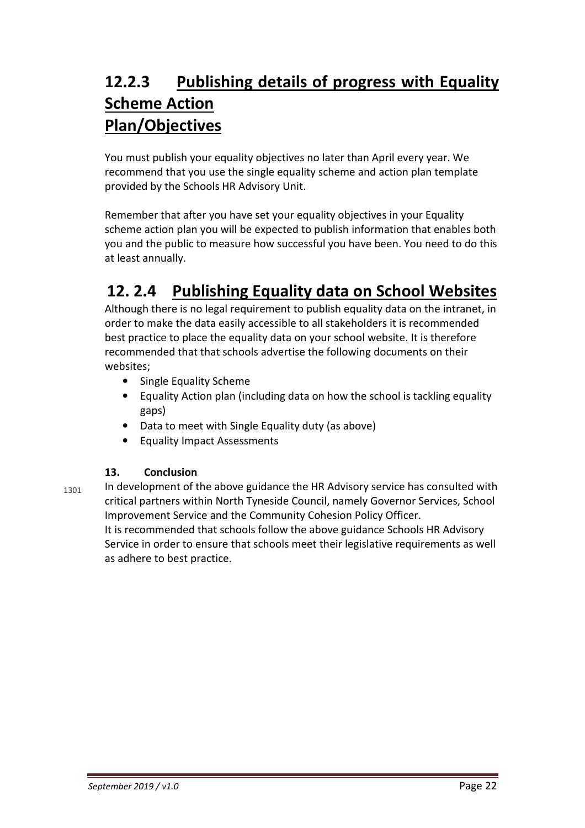## **12.2.3 Publishing details of progress with Equality Scheme Action Plan/Objectives**

You must publish your equality objectives no later than April every year. We recommend that you use the single equality scheme and action plan template provided by the Schools HR Advisory Unit.

Remember that after you have set your equality objectives in your Equality scheme action plan you will be expected to publish information that enables both you and the public to measure how successful you have been. You need to do this at least annually.

## **12. 2.4 Publishing Equality data on School Websites**

Although there is no legal requirement to publish equality data on the intranet, in order to make the data easily accessible to all stakeholders it is recommended best practice to place the equality data on your school website. It is therefore recommended that that schools advertise the following documents on their websites;

- Single Equality Scheme
- Equality Action plan (including data on how the school is tackling equality gaps)
- Data to meet with Single Equality duty (as above)
- Equality Impact Assessments

#### **13. Conclusion**

 $_{1301}$  In development of the above guidance the HR Advisory service has consulted with critical partners within North Tyneside Council, namely Governor Services, School Improvement Service and the Community Cohesion Policy Officer. It is recommended that schools follow the above guidance Schools HR Advisory Service in order to ensure that schools meet their legislative requirements as well as adhere to best practice.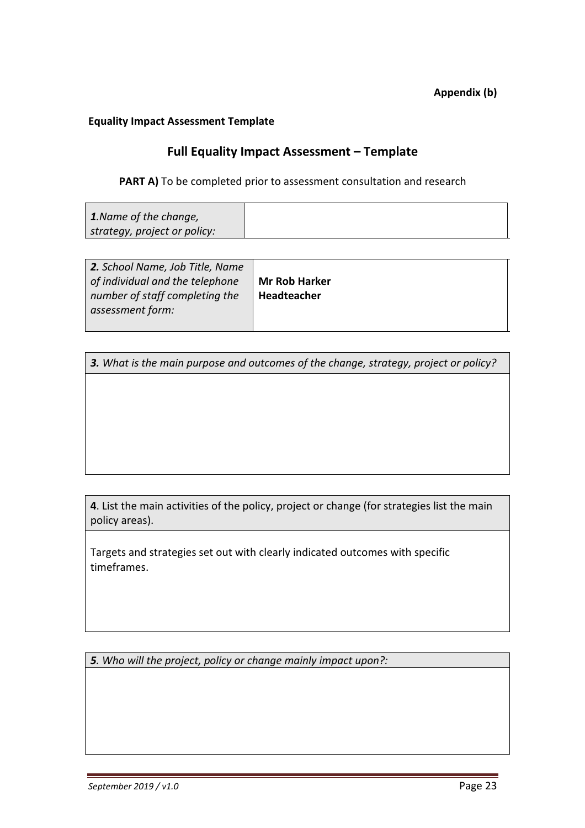#### **Equality Impact Assessment Template**

#### **Full Equality Impact Assessment – Template**

#### **PART A)** To be completed prior to assessment consultation and research

| 1. Name of the change,                          |  |
|-------------------------------------------------|--|
| $\mid$ strategy, project or policy: $\setminus$ |  |

| 2. School Name, Job Title, Name |                      |
|---------------------------------|----------------------|
| of individual and the telephone | <b>Mr Rob Harker</b> |
| number of staff completing the  | Headteacher          |
| assessment form:                |                      |
|                                 |                      |

*3. What is the main purpose and outcomes of the change, strategy, project or policy?* 

**4**. List the main activities of the policy, project or change (for strategies list the main policy areas).

Targets and strategies set out with clearly indicated outcomes with specific timeframes.

*5. Who will the project, policy or change mainly impact upon?:*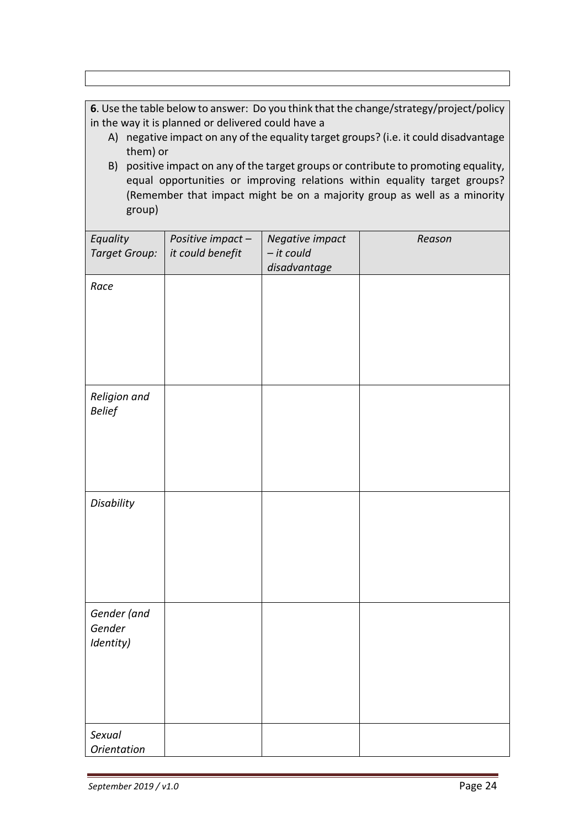**6**. Use the table below to answer: Do you think that the change/strategy/project/policy in the way it is planned or delivered could have a

- A) negative impact on any of the equality target groups? (i.e. it could disadvantage them) or
- B) positive impact on any of the target groups or contribute to promoting equality, equal opportunities or improving relations within equality target groups? (Remember that impact might be on a majority group as well as a minority group)

| Equality<br><b>Target Group:</b> | Positive impact-<br>it could benefit | Negative impact<br>- it could<br>disadvantage | Reason |
|----------------------------------|--------------------------------------|-----------------------------------------------|--------|
| Race                             |                                      |                                               |        |
|                                  |                                      |                                               |        |
|                                  |                                      |                                               |        |
| Religion and<br><b>Belief</b>    |                                      |                                               |        |
|                                  |                                      |                                               |        |
| Disability                       |                                      |                                               |        |
|                                  |                                      |                                               |        |
| Gender (and                      |                                      |                                               |        |
| Gender<br>Identity)              |                                      |                                               |        |
|                                  |                                      |                                               |        |
|                                  |                                      |                                               |        |
| Sexual<br><b>Orientation</b>     |                                      |                                               |        |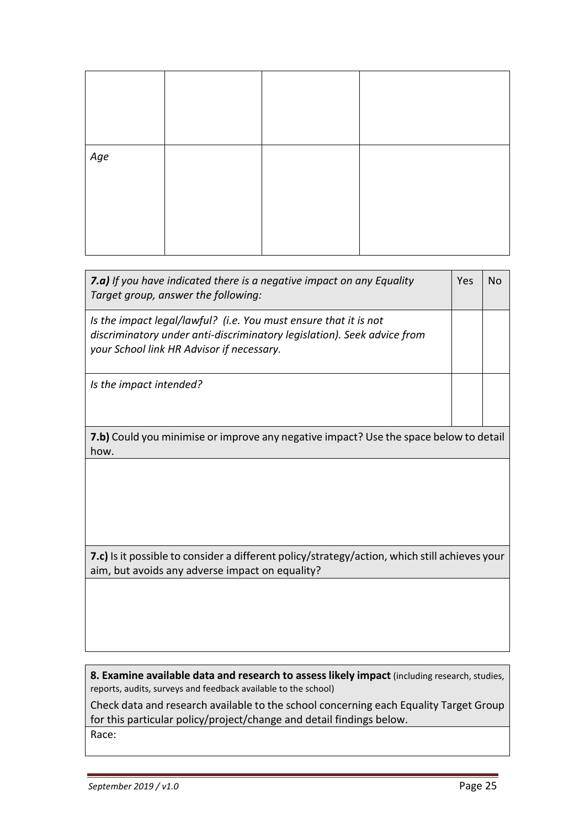| Age |  |  |
|-----|--|--|
|     |  |  |

| 7.a) If you have indicated there is a negative impact on any Equality<br>Target group, answer the following:                                                                             | Yes | Nο |
|------------------------------------------------------------------------------------------------------------------------------------------------------------------------------------------|-----|----|
| Is the impact legal/lawful? (i.e. You must ensure that it is not<br>discriminatory under anti-discriminatory legislation). Seek advice from<br>your School link HR Advisor if necessary. |     |    |
| Is the impact intended?                                                                                                                                                                  |     |    |
| <b>7.b)</b> Could you minimise or improve any negative impact? Use the space below to detail<br>how.                                                                                     |     |    |

**7.c)** Is it possible to consider a different policy/strategy/action, which still achieves your aim, but avoids any adverse impact on equality?

**8. Examine available data and research to assess likely impact** (including research, studies, reports, audits, surveys and feedback available to the school)

Check data and research available to the school concerning each Equality Target Group for this particular policy/project/change and detail findings below. Race: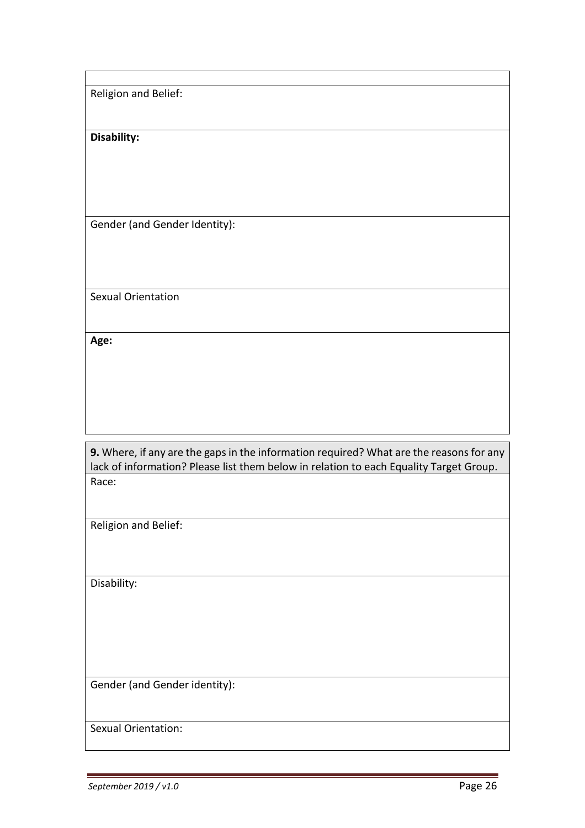Religion and Belief:

**Disability:**

Gender (and Gender Identity):

Sexual Orientation

**Age:**

**9.** Where, if any are the gaps in the information required? What are the reasons for any lack of information? Please list them below in relation to each Equality Target Group. Race:

Religion and Belief:

Disability:

Gender (and Gender identity):

Sexual Orientation: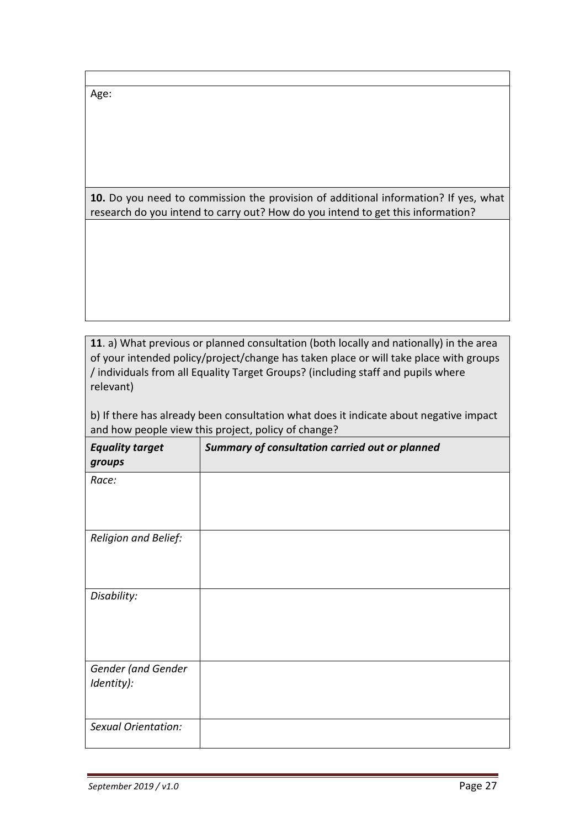Age:

**10.** Do you need to commission the provision of additional information? If yes, what research do you intend to carry out? How do you intend to get this information?

**11**. a) What previous or planned consultation (both locally and nationally) in the area of your intended policy/project/change has taken place or will take place with groups / individuals from all Equality Target Groups? (including staff and pupils where relevant)

b) If there has already been consultation what does it indicate about negative impact and how people view this project, policy of change?

| <b>Equality target</b><br>groups | Summary of consultation carried out or planned |
|----------------------------------|------------------------------------------------|
| Race:                            |                                                |
| Religion and Belief:             |                                                |
| Disability:                      |                                                |
| Gender (and Gender<br>Identity): |                                                |
| Sexual Orientation:              |                                                |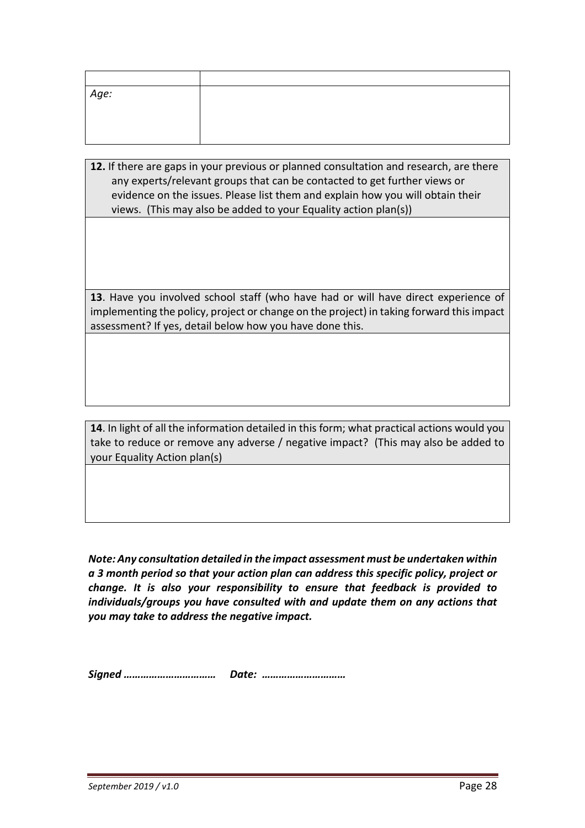| Age: |  |
|------|--|
|      |  |
|      |  |
|      |  |

**12.** If there are gaps in your previous or planned consultation and research, are there any experts/relevant groups that can be contacted to get further views or evidence on the issues. Please list them and explain how you will obtain their views. (This may also be added to your Equality action plan(s))

**13**. Have you involved school staff (who have had or will have direct experience of implementing the policy, project or change on the project) in taking forward this impact assessment? If yes, detail below how you have done this.

**14**. In light of all the information detailed in this form; what practical actions would you take to reduce or remove any adverse / negative impact? (This may also be added to your Equality Action plan(s)

*Note: Any consultation detailed in the impact assessment must be undertaken within a 3 month period so that your action plan can address this specific policy, project or change. It is also your responsibility to ensure that feedback is provided to individuals/groups you have consulted with and update them on any actions that you may take to address the negative impact.* 

*Signed …………………………… Date: …………………………*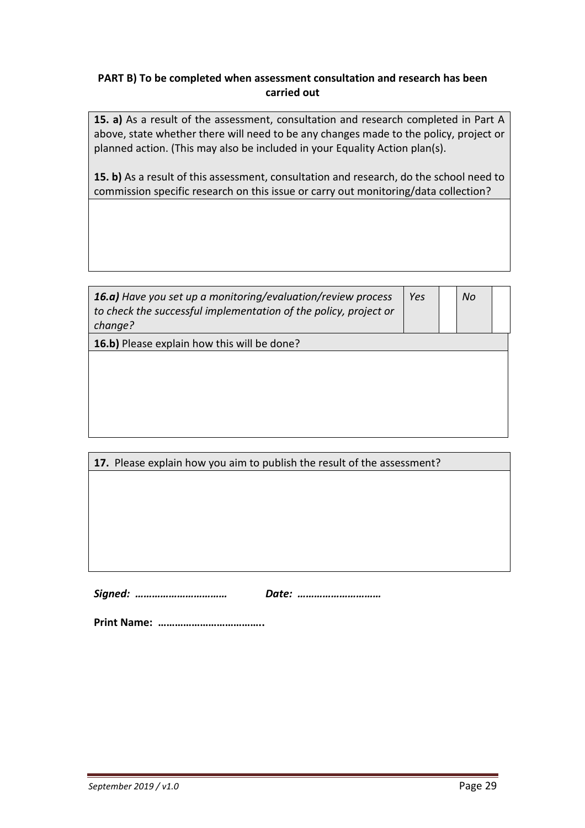#### **PART B) To be completed when assessment consultation and research has been carried out**

**15. a)** As a result of the assessment, consultation and research completed in Part A above, state whether there will need to be any changes made to the policy, project or planned action. (This may also be included in your Equality Action plan(s).

**15. b)** As a result of this assessment, consultation and research, do the school need to commission specific research on this issue or carry out monitoring/data collection?

| 16.a) Have you set up a monitoring/evaluation/review process<br>to check the successful implementation of the policy, project or<br>change? | Yes | No |  |
|---------------------------------------------------------------------------------------------------------------------------------------------|-----|----|--|
| <b>16.b)</b> Please explain how this will be done?                                                                                          |     |    |  |
|                                                                                                                                             |     |    |  |
|                                                                                                                                             |     |    |  |
|                                                                                                                                             |     |    |  |
|                                                                                                                                             |     |    |  |
|                                                                                                                                             |     |    |  |

| 17. Please explain how you aim to publish the result of the assessment? |  |  |  |
|-------------------------------------------------------------------------|--|--|--|
|                                                                         |  |  |  |
|                                                                         |  |  |  |
|                                                                         |  |  |  |
|                                                                         |  |  |  |
|                                                                         |  |  |  |
|                                                                         |  |  |  |
|                                                                         |  |  |  |

 *Signed: …………………………… Date: …………………………* 

 **Print Name: ………………………………..**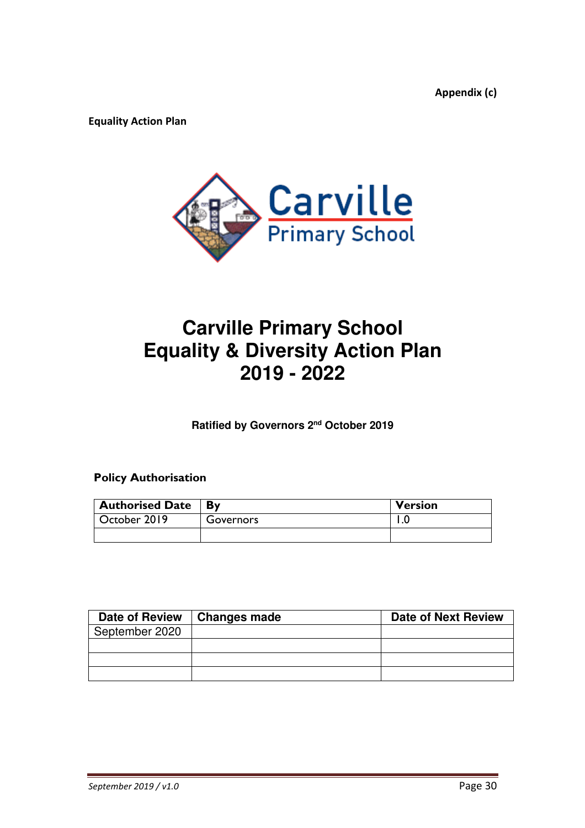**Appendix (c)** 

**Equality Action Plan** 



## **Carville Primary School Equality & Diversity Action Plan 2019 - 2022**

**Ratified by Governors 2nd October 2019** 

#### **Policy Authorisation**

| <b>Authorised Date</b> | <b>By</b> | <b>Version</b> |
|------------------------|-----------|----------------|
| October 2019           | Governors |                |
|                        |           |                |

| Date of Review | Changes made | <b>Date of Next Review</b> |
|----------------|--------------|----------------------------|
| September 2020 |              |                            |
|                |              |                            |
|                |              |                            |
|                |              |                            |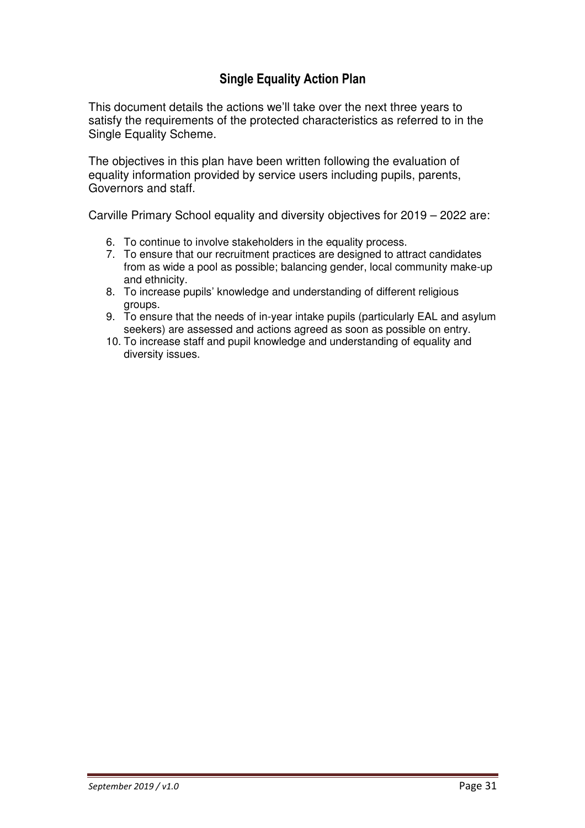#### **Single Equality Action Plan**

This document details the actions we'll take over the next three years to satisfy the requirements of the protected characteristics as referred to in the Single Equality Scheme.

The objectives in this plan have been written following the evaluation of equality information provided by service users including pupils, parents, Governors and staff.

Carville Primary School equality and diversity objectives for 2019 – 2022 are:

- 6. To continue to involve stakeholders in the equality process.
- 7. To ensure that our recruitment practices are designed to attract candidates from as wide a pool as possible; balancing gender, local community make-up and ethnicity.
- 8. To increase pupils' knowledge and understanding of different religious groups.
- 9. To ensure that the needs of in-year intake pupils (particularly EAL and asylum seekers) are assessed and actions agreed as soon as possible on entry.
- 10. To increase staff and pupil knowledge and understanding of equality and diversity issues.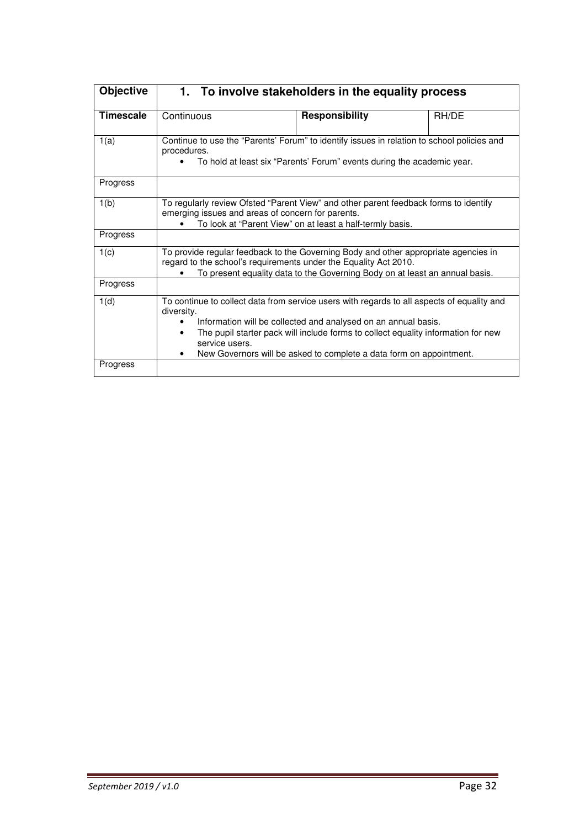| <b>Objective</b> | 1. To involve stakeholders in the equality process                                                                                                                                                                                                                                                                                                                    |                       |       |  |
|------------------|-----------------------------------------------------------------------------------------------------------------------------------------------------------------------------------------------------------------------------------------------------------------------------------------------------------------------------------------------------------------------|-----------------------|-------|--|
| <b>Timescale</b> | Continuous                                                                                                                                                                                                                                                                                                                                                            | <b>Responsibility</b> | RH/DE |  |
| 1(a)             | Continue to use the "Parents' Forum" to identify issues in relation to school policies and<br>procedures.<br>To hold at least six "Parents' Forum" events during the academic year.                                                                                                                                                                                   |                       |       |  |
| Progress         |                                                                                                                                                                                                                                                                                                                                                                       |                       |       |  |
| 1(b)             | To regularly review Ofsted "Parent View" and other parent feedback forms to identify<br>emerging issues and areas of concern for parents.<br>To look at "Parent View" on at least a half-termly basis.                                                                                                                                                                |                       |       |  |
| Progress         |                                                                                                                                                                                                                                                                                                                                                                       |                       |       |  |
| 1(c)             | To provide regular feedback to the Governing Body and other appropriate agencies in<br>regard to the school's requirements under the Equality Act 2010.<br>To present equality data to the Governing Body on at least an annual basis.                                                                                                                                |                       |       |  |
| Progress         |                                                                                                                                                                                                                                                                                                                                                                       |                       |       |  |
| 1(d)             | To continue to collect data from service users with regards to all aspects of equality and<br>diversity.<br>Information will be collected and analysed on an annual basis.<br>The pupil starter pack will include forms to collect equality information for new<br>$\bullet$<br>service users.<br>New Governors will be asked to complete a data form on appointment. |                       |       |  |
| Progress         |                                                                                                                                                                                                                                                                                                                                                                       |                       |       |  |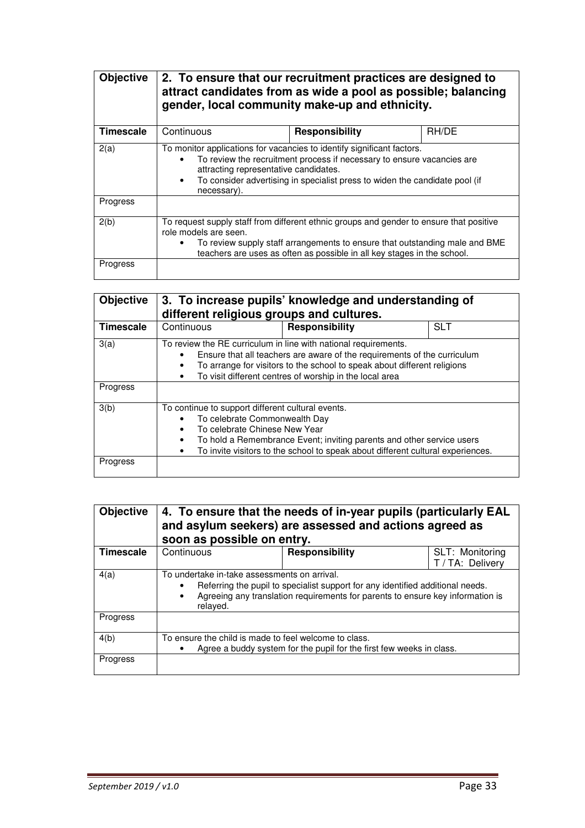| <b>Objective</b> | 2. To ensure that our recruitment practices are designed to<br>attract candidates from as wide a pool as possible; balancing<br>gender, local community make-up and ethnicity.                                                                                                                                    |                       |       |  |
|------------------|-------------------------------------------------------------------------------------------------------------------------------------------------------------------------------------------------------------------------------------------------------------------------------------------------------------------|-----------------------|-------|--|
| <b>Timescale</b> | Continuous                                                                                                                                                                                                                                                                                                        | <b>Responsibility</b> | RH/DE |  |
| 2(a)             | To monitor applications for vacancies to identify significant factors.<br>To review the recruitment process if necessary to ensure vacancies are<br>$\bullet$<br>attracting representative candidates.<br>To consider advertising in specialist press to widen the candidate pool (if<br>$\bullet$<br>necessary). |                       |       |  |
| Progress         |                                                                                                                                                                                                                                                                                                                   |                       |       |  |
| 2(b)             | To request supply staff from different ethnic groups and gender to ensure that positive<br>role models are seen.<br>To review supply staff arrangements to ensure that outstanding male and BME<br>teachers are uses as often as possible in all key stages in the school.                                        |                       |       |  |
| Progress         |                                                                                                                                                                                                                                                                                                                   |                       |       |  |

| <b>Objective</b> | 3. To increase pupils' knowledge and understanding of<br>different religious groups and cultures.                                                                                                                                                                                                                                   |                |            |  |
|------------------|-------------------------------------------------------------------------------------------------------------------------------------------------------------------------------------------------------------------------------------------------------------------------------------------------------------------------------------|----------------|------------|--|
| Timescale        | Continuous                                                                                                                                                                                                                                                                                                                          | Responsibility | <b>SLT</b> |  |
| 3(a)             | To review the RE curriculum in line with national requirements.<br>Ensure that all teachers are aware of the requirements of the curriculum<br>$\bullet$<br>To arrange for visitors to the school to speak about different religions<br>$\bullet$<br>To visit different centres of worship in the local area<br>٠                   |                |            |  |
| Progress         |                                                                                                                                                                                                                                                                                                                                     |                |            |  |
| 3(b)             | To continue to support different cultural events.<br>To celebrate Commonwealth Day<br>$\bullet$<br>To celebrate Chinese New Year<br>$\bullet$<br>To hold a Remembrance Event; inviting parents and other service users<br>$\bullet$<br>To invite visitors to the school to speak about different cultural experiences.<br>$\bullet$ |                |            |  |
| Progress         |                                                                                                                                                                                                                                                                                                                                     |                |            |  |

| <b>Objective</b> | soon as possible on entry.                                                                                                                                                                                                                | 4. To ensure that the needs of in-year pupils (particularly EAL<br>and asylum seekers) are assessed and actions agreed as |                                     |
|------------------|-------------------------------------------------------------------------------------------------------------------------------------------------------------------------------------------------------------------------------------------|---------------------------------------------------------------------------------------------------------------------------|-------------------------------------|
| <b>Timescale</b> | Continuous                                                                                                                                                                                                                                | Responsibility                                                                                                            | SLT: Monitoring<br>T / TA: Delivery |
| 4(a)             | To undertake in-take assessments on arrival.<br>Referring the pupil to specialist support for any identified additional needs.<br>Agreeing any translation requirements for parents to ensure key information is<br>$\bullet$<br>relayed. |                                                                                                                           |                                     |
| Progress         |                                                                                                                                                                                                                                           |                                                                                                                           |                                     |
| 4(b)             | To ensure the child is made to feel welcome to class.<br>Agree a buddy system for the pupil for the first few weeks in class.                                                                                                             |                                                                                                                           |                                     |
| Progress         |                                                                                                                                                                                                                                           |                                                                                                                           |                                     |